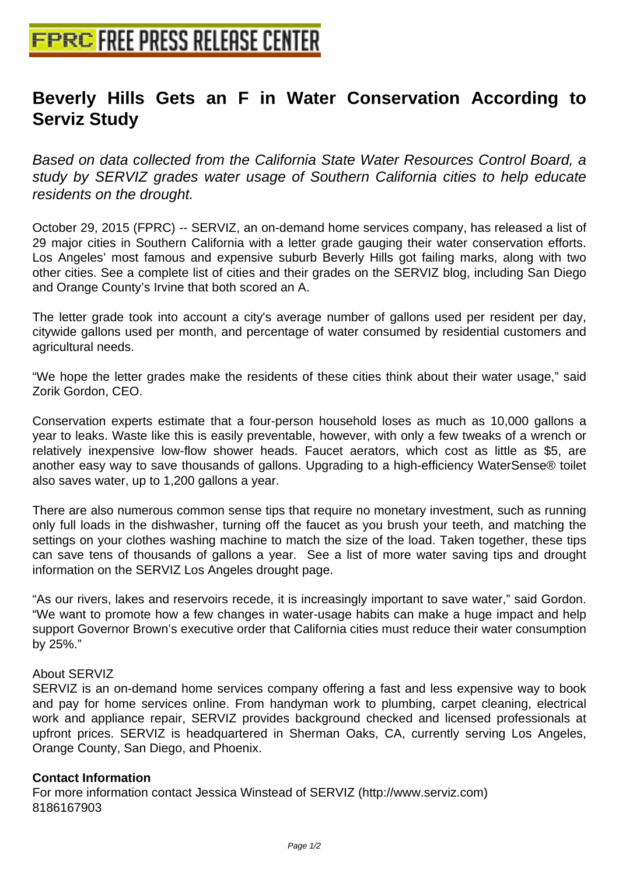## **[Beverly Hills Gets an F in Wate](http://www.free-press-release-center.info)r Conservation According to Serviz Study**

Based on data collected from the California State Water Resources Control Board, a study by SERVIZ grades water usage of Southern California cities to help educate residents on the drought.

October 29, 2015 (FPRC) -- SERVIZ, an on-demand home services company, has released a list of 29 major cities in Southern California with a letter grade gauging their water conservation efforts. Los Angeles' most famous and expensive suburb Beverly Hills got failing marks, along with two other cities. See a complete list of cities and their grades on the SERVIZ blog, including San Diego and Orange County's Irvine that both scored an A.

The letter grade took into account a city's average number of gallons used per resident per day, citywide gallons used per month, and percentage of water consumed by residential customers and agricultural needs.

"We hope the letter grades make the residents of these cities think about their water usage," said Zorik Gordon, CEO.

Conservation experts estimate that a four-person household loses as much as 10,000 gallons a year to leaks. Waste like this is easily preventable, however, with only a few tweaks of a wrench or relatively inexpensive low-flow shower heads. Faucet aerators, which cost as little as \$5, are another easy way to save thousands of gallons. Upgrading to a high-efficiency WaterSense® toilet also saves water, up to 1,200 gallons a year.

There are also numerous common sense tips that require no monetary investment, such as running only full loads in the dishwasher, turning off the faucet as you brush your teeth, and matching the settings on your clothes washing machine to match the size of the load. Taken together, these tips can save tens of thousands of gallons a year. See a list of more water saving tips and drought information on the SERVIZ Los Angeles drought page.

"As our rivers, lakes and reservoirs recede, it is increasingly important to save water," said Gordon. "We want to promote how a few changes in water-usage habits can make a huge impact and help support Governor Brown's executive order that California cities must reduce their water consumption by 25%."

## About SERVIZ

SERVIZ is an on-demand home services company offering a fast and less expensive way to book and pay for home services online. From handyman work to plumbing, carpet cleaning, electrical work and appliance repair, SERVIZ provides background checked and licensed professionals at upfront prices. SERVIZ is headquartered in Sherman Oaks, CA, currently serving Los Angeles, Orange County, San Diego, and Phoenix.

## **Contact Information**

For more information contact Jessica Winstead of SERVIZ (http://www.serviz.com) 8186167903